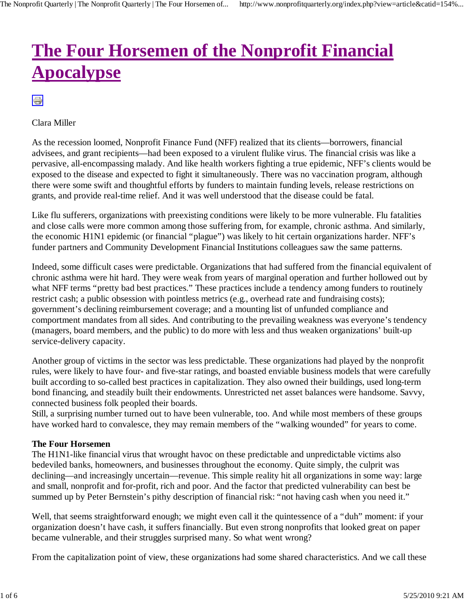# **The Four Horsemen of the Nonprofit Financial Apocalypse**

 $\oplus$ 

Clara Miller

As the recession loomed, Nonprofit Finance Fund (NFF) realized that its clients—borrowers, financial advisees, and grant recipients—had been exposed to a virulent flulike virus. The financial crisis was like a pervasive, all-encompassing malady. And like health workers fighting a true epidemic, NFF's clients would be exposed to the disease and expected to fight it simultaneously. There was no vaccination program, although there were some swift and thoughtful efforts by funders to maintain funding levels, release restrictions on grants, and provide real-time relief. And it was well understood that the disease could be fatal.

Like flu sufferers, organizations with preexisting conditions were likely to be more vulnerable. Flu fatalities and close calls were more common among those suffering from, for example, chronic asthma. And similarly, the economic H1N1 epidemic (or financial "plague") was likely to hit certain organizations harder. NFF's funder partners and Community Development Financial Institutions colleagues saw the same patterns.

Indeed, some difficult cases were predictable. Organizations that had suffered from the financial equivalent of chronic asthma were hit hard. They were weak from years of marginal operation and further hollowed out by what NFF terms "pretty bad best practices." These practices include a tendency among funders to routinely restrict cash; a public obsession with pointless metrics (e.g., overhead rate and fundraising costs); government's declining reimbursement coverage; and a mounting list of unfunded compliance and comportment mandates from all sides. And contributing to the prevailing weakness was everyone's tendency (managers, board members, and the public) to do more with less and thus weaken organizations' built-up service-delivery capacity.

Another group of victims in the sector was less predictable. These organizations had played by the nonprofit rules, were likely to have four- and five-star ratings, and boasted enviable business models that were carefully built according to so-called best practices in capitalization. They also owned their buildings, used long-term bond financing, and steadily built their endowments. Unrestricted net asset balances were handsome. Savvy, connected business folk peopled their boards.

Still, a surprising number turned out to have been vulnerable, too. And while most members of these groups have worked hard to convalesce, they may remain members of the "walking wounded" for years to come.

#### **The Four Horsemen**

The H1N1-like financial virus that wrought havoc on these predictable and unpredictable victims also bedeviled banks, homeowners, and businesses throughout the economy. Quite simply, the culprit was declining—and increasingly uncertain—revenue. This simple reality hit all organizations in some way: large and small, nonprofit and for-profit, rich and poor. And the factor that predicted vulnerability can best be summed up by Peter Bernstein's pithy description of financial risk: "not having cash when you need it."

Well, that seems straightforward enough; we might even call it the quintessence of a "duh" moment: if your organization doesn't have cash, it suffers financially. But even strong nonprofits that looked great on paper became vulnerable, and their struggles surprised many. So what went wrong?

From the capitalization point of view, these organizations had some shared characteristics. And we call these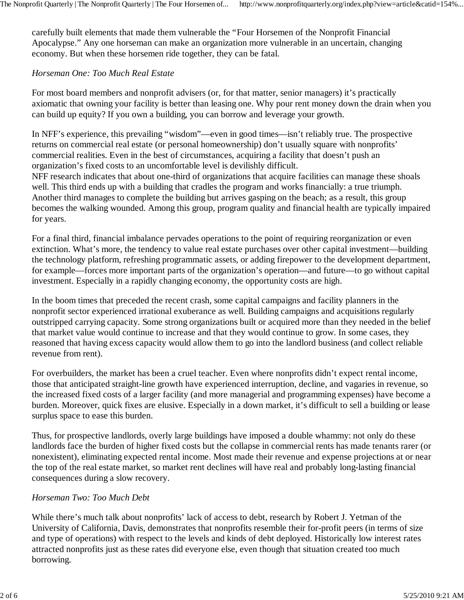carefully built elements that made them vulnerable the "Four Horsemen of the Nonprofit Financial Apocalypse." Any one horseman can make an organization more vulnerable in an uncertain, changing economy. But when these horsemen ride together, they can be fatal.

#### *Horseman One: Too Much Real Estate*

For most board members and nonprofit advisers (or, for that matter, senior managers) it's practically axiomatic that owning your facility is better than leasing one. Why pour rent money down the drain when you can build up equity? If you own a building, you can borrow and leverage your growth.

In NFF's experience, this prevailing "wisdom"—even in good times—isn't reliably true. The prospective returns on commercial real estate (or personal homeownership) don't usually square with nonprofits' commercial realities. Even in the best of circumstances, acquiring a facility that doesn't push an organization's fixed costs to an uncomfortable level is devilishly difficult.

NFF research indicates that about one-third of organizations that acquire facilities can manage these shoals well. This third ends up with a building that cradles the program and works financially: a true triumph. Another third manages to complete the building but arrives gasping on the beach; as a result, this group becomes the walking wounded. Among this group, program quality and financial health are typically impaired for years.

For a final third, financial imbalance pervades operations to the point of requiring reorganization or even extinction. What's more, the tendency to value real estate purchases over other capital investment—building the technology platform, refreshing programmatic assets, or adding firepower to the development department, for example—forces more important parts of the organization's operation—and future—to go without capital investment. Especially in a rapidly changing economy, the opportunity costs are high.

In the boom times that preceded the recent crash, some capital campaigns and facility planners in the nonprofit sector experienced irrational exuberance as well. Building campaigns and acquisitions regularly outstripped carrying capacity. Some strong organizations built or acquired more than they needed in the belief that market value would continue to increase and that they would continue to grow. In some cases, they reasoned that having excess capacity would allow them to go into the landlord business (and collect reliable revenue from rent).

For overbuilders, the market has been a cruel teacher. Even where nonprofits didn't expect rental income, those that anticipated straight-line growth have experienced interruption, decline, and vagaries in revenue, so the increased fixed costs of a larger facility (and more managerial and programming expenses) have become a burden. Moreover, quick fixes are elusive. Especially in a down market, it's difficult to sell a building or lease surplus space to ease this burden.

Thus, for prospective landlords, overly large buildings have imposed a double whammy: not only do these landlords face the burden of higher fixed costs but the collapse in commercial rents has made tenants rarer (or nonexistent), eliminating expected rental income. Most made their revenue and expense projections at or near the top of the real estate market, so market rent declines will have real and probably long-lasting financial consequences during a slow recovery.

#### *Horseman Two: Too Much Debt*

While there's much talk about nonprofits' lack of access to debt, research by Robert J. Yetman of the University of California, Davis, demonstrates that nonprofits resemble their for-profit peers (in terms of size and type of operations) with respect to the levels and kinds of debt deployed. Historically low interest rates attracted nonprofits just as these rates did everyone else, even though that situation created too much borrowing.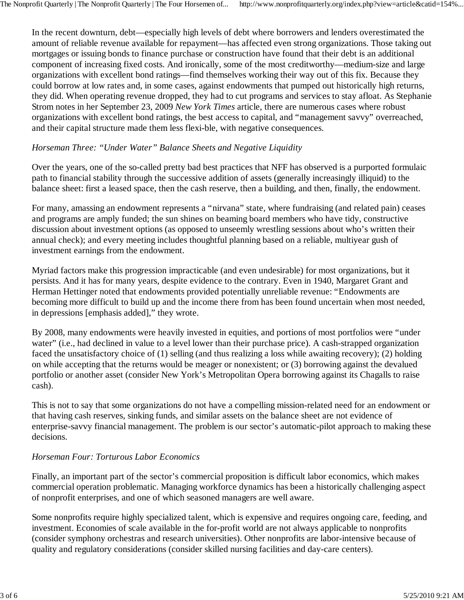In the recent downturn, debt—especially high levels of debt where borrowers and lenders overestimated the amount of reliable revenue available for repayment—has affected even strong organizations. Those taking out mortgages or issuing bonds to finance purchase or construction have found that their debt is an additional component of increasing fixed costs. And ironically, some of the most creditworthy—medium-size and large organizations with excellent bond ratings—find themselves working their way out of this fix. Because they could borrow at low rates and, in some cases, against endowments that pumped out historically high returns, they did. When operating revenue dropped, they had to cut programs and services to stay afloat. As Stephanie Strom notes in her September 23, 2009 *New York Times* article, there are numerous cases where robust organizations with excellent bond ratings, the best access to capital, and "management savvy" overreached, and their capital structure made them less flexi-ble, with negative consequences.

### *Horseman Three: "Under Water" Balance Sheets and Negative Liquidity*

Over the years, one of the so-called pretty bad best practices that NFF has observed is a purported formulaic path to financial stability through the successive addition of assets (generally increasingly illiquid) to the balance sheet: first a leased space, then the cash reserve, then a building, and then, finally, the endowment.

For many, amassing an endowment represents a "nirvana" state, where fundraising (and related pain) ceases and programs are amply funded; the sun shines on beaming board members who have tidy, constructive discussion about investment options (as opposed to unseemly wrestling sessions about who's written their annual check); and every meeting includes thoughtful planning based on a reliable, multiyear gush of investment earnings from the endowment.

Myriad factors make this progression impracticable (and even undesirable) for most organizations, but it persists. And it has for many years, despite evidence to the contrary. Even in 1940, Margaret Grant and Herman Hettinger noted that endowments provided potentially unreliable revenue: "Endowments are becoming more difficult to build up and the income there from has been found uncertain when most needed, in depressions [emphasis added]," they wrote.

By 2008, many endowments were heavily invested in equities, and portions of most portfolios were "under water" (i.e., had declined in value to a level lower than their purchase price). A cash-strapped organization faced the unsatisfactory choice of (1) selling (and thus realizing a loss while awaiting recovery); (2) holding on while accepting that the returns would be meager or nonexistent; or (3) borrowing against the devalued portfolio or another asset (consider New York's Metropolitan Opera borrowing against its Chagalls to raise cash).

This is not to say that some organizations do not have a compelling mission-related need for an endowment or that having cash reserves, sinking funds, and similar assets on the balance sheet are not evidence of enterprise-savvy financial management. The problem is our sector's automatic-pilot approach to making these decisions.

#### *Horseman Four: Torturous Labor Economics*

Finally, an important part of the sector's commercial proposition is difficult labor economics, which makes commercial operation problematic. Managing workforce dynamics has been a historically challenging aspect of nonprofit enterprises, and one of which seasoned managers are well aware.

Some nonprofits require highly specialized talent, which is expensive and requires ongoing care, feeding, and investment. Economies of scale available in the for-profit world are not always applicable to nonprofits (consider symphony orchestras and research universities). Other nonprofits are labor-intensive because of quality and regulatory considerations (consider skilled nursing facilities and day-care centers).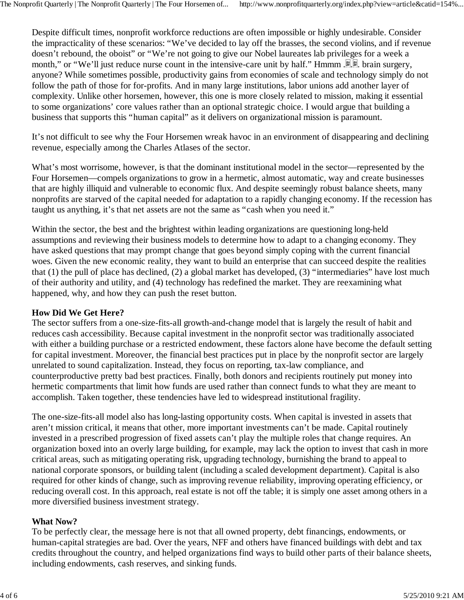Despite difficult times, nonprofit workforce reductions are often impossible or highly undesirable. Consider the impracticality of these scenarios: "We've decided to lay off the brasses, the second violins, and if revenue doesn't rebound, the oboist" or "We're not going to give our Nobel laureates lab privileges for a week a month," or "We'll just reduce nurse count in the intensive-care unit by half." Hmmm . . . brain surgery, anyone? While sometimes possible, productivity gains from economies of scale and technology simply do not follow the path of those for for-profits. And in many large institutions, labor unions add another layer of complexity. Unlike other horsemen, however, this one is more closely related to mission, making it essential to some organizations' core values rather than an optional strategic choice. I would argue that building a business that supports this "human capital" as it delivers on organizational mission is paramount.

It's not difficult to see why the Four Horsemen wreak havoc in an environment of disappearing and declining revenue, especially among the Charles Atlases of the sector.

What's most worrisome, however, is that the dominant institutional model in the sector—represented by the Four Horsemen—compels organizations to grow in a hermetic, almost automatic, way and create businesses that are highly illiquid and vulnerable to economic flux. And despite seemingly robust balance sheets, many nonprofits are starved of the capital needed for adaptation to a rapidly changing economy. If the recession has taught us anything, it's that net assets are not the same as "cash when you need it."

Within the sector, the best and the brightest within leading organizations are questioning long-held assumptions and reviewing their business models to determine how to adapt to a changing economy. They have asked questions that may prompt change that goes beyond simply coping with the current financial woes. Given the new economic reality, they want to build an enterprise that can succeed despite the realities that (1) the pull of place has declined, (2) a global market has developed, (3) "intermediaries" have lost much of their authority and utility, and (4) technology has redefined the market. They are reexamining what happened, why, and how they can push the reset button.

#### **How Did We Get Here?**

The sector suffers from a one-size-fits-all growth-and-change model that is largely the result of habit and reduces cash accessibility. Because capital investment in the nonprofit sector was traditionally associated with either a building purchase or a restricted endowment, these factors alone have become the default setting for capital investment. Moreover, the financial best practices put in place by the nonprofit sector are largely unrelated to sound capitalization. Instead, they focus on reporting, tax-law compliance, and counterproductive pretty bad best practices. Finally, both donors and recipients routinely put money into hermetic compartments that limit how funds are used rather than connect funds to what they are meant to accomplish. Taken together, these tendencies have led to widespread institutional fragility.

The one-size-fits-all model also has long-lasting opportunity costs. When capital is invested in assets that aren't mission critical, it means that other, more important investments can't be made. Capital routinely invested in a prescribed progression of fixed assets can't play the multiple roles that change requires. An organization boxed into an overly large building, for example, may lack the option to invest that cash in more critical areas, such as mitigating operating risk, upgrading technology, burnishing the brand to appeal to national corporate sponsors, or building talent (including a scaled development department). Capital is also required for other kinds of change, such as improving revenue reliability, improving operating efficiency, or reducing overall cost. In this approach, real estate is not off the table; it is simply one asset among others in a more diversified business investment strategy.

#### **What Now?**

To be perfectly clear, the message here is not that all owned property, debt financings, endowments, or human-capital strategies are bad. Over the years, NFF and others have financed buildings with debt and tax credits throughout the country, and helped organizations find ways to build other parts of their balance sheets, including endowments, cash reserves, and sinking funds.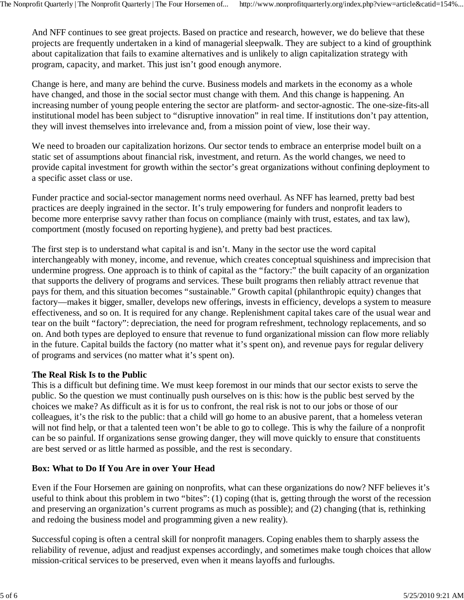And NFF continues to see great projects. Based on practice and research, however, we do believe that these projects are frequently undertaken in a kind of managerial sleepwalk. They are subject to a kind of groupthink about capitalization that fails to examine alternatives and is unlikely to align capitalization strategy with program, capacity, and market. This just isn't good enough anymore.

Change is here, and many are behind the curve. Business models and markets in the economy as a whole have changed, and those in the social sector must change with them. And this change is happening. An increasing number of young people entering the sector are platform- and sector-agnostic. The one-size-fits-all institutional model has been subject to "disruptive innovation" in real time. If institutions don't pay attention, they will invest themselves into irrelevance and, from a mission point of view, lose their way.

We need to broaden our capitalization horizons. Our sector tends to embrace an enterprise model built on a static set of assumptions about financial risk, investment, and return. As the world changes, we need to provide capital investment for growth within the sector's great organizations without confining deployment to a specific asset class or use.

Funder practice and social-sector management norms need overhaul. As NFF has learned, pretty bad best practices are deeply ingrained in the sector. It's truly empowering for funders and nonprofit leaders to become more enterprise savvy rather than focus on compliance (mainly with trust, estates, and tax law), comportment (mostly focused on reporting hygiene), and pretty bad best practices.

The first step is to understand what capital is and isn't. Many in the sector use the word capital interchangeably with money, income, and revenue, which creates conceptual squishiness and imprecision that undermine progress. One approach is to think of capital as the "factory:" the built capacity of an organization that supports the delivery of programs and services. These built programs then reliably attract revenue that pays for them, and this situation becomes "sustainable." Growth capital (philanthropic equity) changes that factory—makes it bigger, smaller, develops new offerings, invests in efficiency, develops a system to measure effectiveness, and so on. It is required for any change. Replenishment capital takes care of the usual wear and tear on the built "factory": depreciation, the need for program refreshment, technology replacements, and so on. And both types are deployed to ensure that revenue to fund organizational mission can flow more reliably in the future. Capital builds the factory (no matter what it's spent on), and revenue pays for regular delivery of programs and services (no matter what it's spent on).

#### **The Real Risk Is to the Public**

This is a difficult but defining time. We must keep foremost in our minds that our sector exists to serve the public. So the question we must continually push ourselves on is this: how is the public best served by the choices we make? As difficult as it is for us to confront, the real risk is not to our jobs or those of our colleagues, it's the risk to the public: that a child will go home to an abusive parent, that a homeless veteran will not find help, or that a talented teen won't be able to go to college. This is why the failure of a nonprofit can be so painful. If organizations sense growing danger, they will move quickly to ensure that constituents are best served or as little harmed as possible, and the rest is secondary.

## **Box: What to Do If You Are in over Your Head**

Even if the Four Horsemen are gaining on nonprofits, what can these organizations do now? NFF believes it's useful to think about this problem in two "bites": (1) coping (that is, getting through the worst of the recession and preserving an organization's current programs as much as possible); and (2) changing (that is, rethinking and redoing the business model and programming given a new reality).

Successful coping is often a central skill for nonprofit managers. Coping enables them to sharply assess the reliability of revenue, adjust and readjust expenses accordingly, and sometimes make tough choices that allow mission-critical services to be preserved, even when it means layoffs and furloughs.